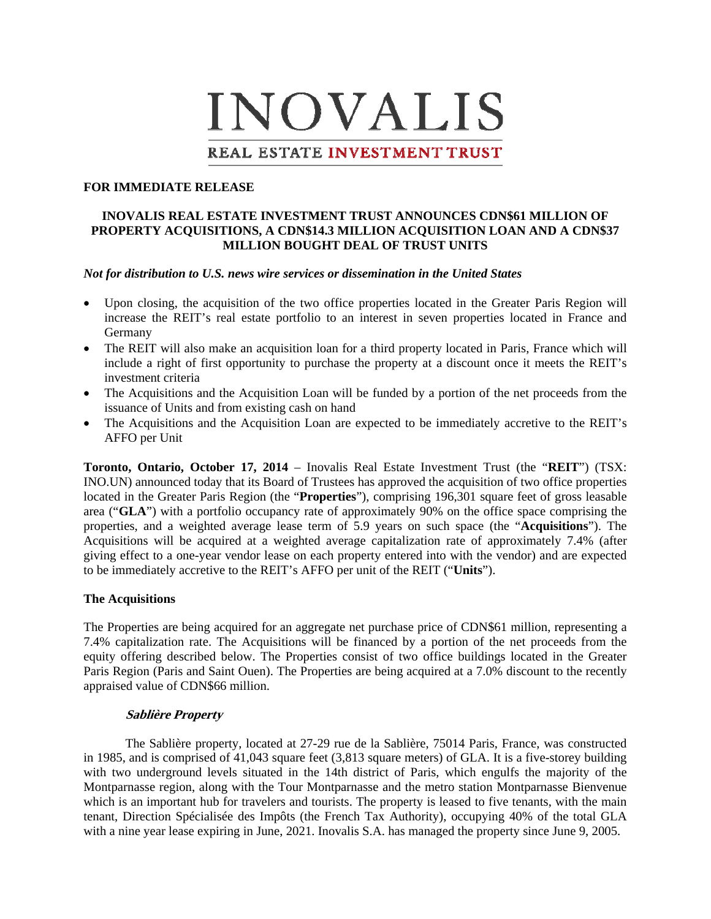# **INOVALIS**

# REAL ESTATE INVESTMENT TRUST

### **FOR IMMEDIATE RELEASE**

# **INOVALIS REAL ESTATE INVESTMENT TRUST ANNOUNCES CDN\$61 MILLION OF PROPERTY ACQUISITIONS, A CDN\$14.3 MILLION ACQUISITION LOAN AND A CDN\$37 MILLION BOUGHT DEAL OF TRUST UNITS**

### *Not for distribution to U.S. news wire services or dissemination in the United States*

- Upon closing, the acquisition of the two office properties located in the Greater Paris Region will increase the REIT's real estate portfolio to an interest in seven properties located in France and Germany
- The REIT will also make an acquisition loan for a third property located in Paris, France which will include a right of first opportunity to purchase the property at a discount once it meets the REIT's investment criteria
- The Acquisitions and the Acquisition Loan will be funded by a portion of the net proceeds from the issuance of Units and from existing cash on hand
- The Acquisitions and the Acquisition Loan are expected to be immediately accretive to the REIT's AFFO per Unit

**Toronto, Ontario, October 17, 2014** – Inovalis Real Estate Investment Trust (the "**REIT**") (TSX: INO.UN) announced today that its Board of Trustees has approved the acquisition of two office properties located in the Greater Paris Region (the "**Properties**"), comprising 196,301 square feet of gross leasable area ("**GLA**") with a portfolio occupancy rate of approximately 90% on the office space comprising the properties, and a weighted average lease term of 5.9 years on such space (the "**Acquisitions**"). The Acquisitions will be acquired at a weighted average capitalization rate of approximately 7.4% (after giving effect to a one-year vendor lease on each property entered into with the vendor) and are expected to be immediately accretive to the REIT's AFFO per unit of the REIT ("**Units**").

### **The Acquisitions**

The Properties are being acquired for an aggregate net purchase price of CDN\$61 million, representing a 7.4% capitalization rate. The Acquisitions will be financed by a portion of the net proceeds from the equity offering described below. The Properties consist of two office buildings located in the Greater Paris Region (Paris and Saint Ouen). The Properties are being acquired at a 7.0% discount to the recently appraised value of CDN\$66 million.

# **Sablière Property**

The Sablière property, located at 27-29 rue de la Sablière, 75014 Paris, France, was constructed in 1985, and is comprised of 41,043 square feet (3,813 square meters) of GLA. It is a five-storey building with two underground levels situated in the 14th district of Paris, which engulfs the majority of the Montparnasse region, along with the Tour Montparnasse and the metro station Montparnasse Bienvenue which is an important hub for travelers and tourists. The property is leased to five tenants, with the main tenant, Direction Spécialisée des Impôts (the French Tax Authority), occupying 40% of the total GLA with a nine year lease expiring in June, 2021. Inovalis S.A. has managed the property since June 9, 2005.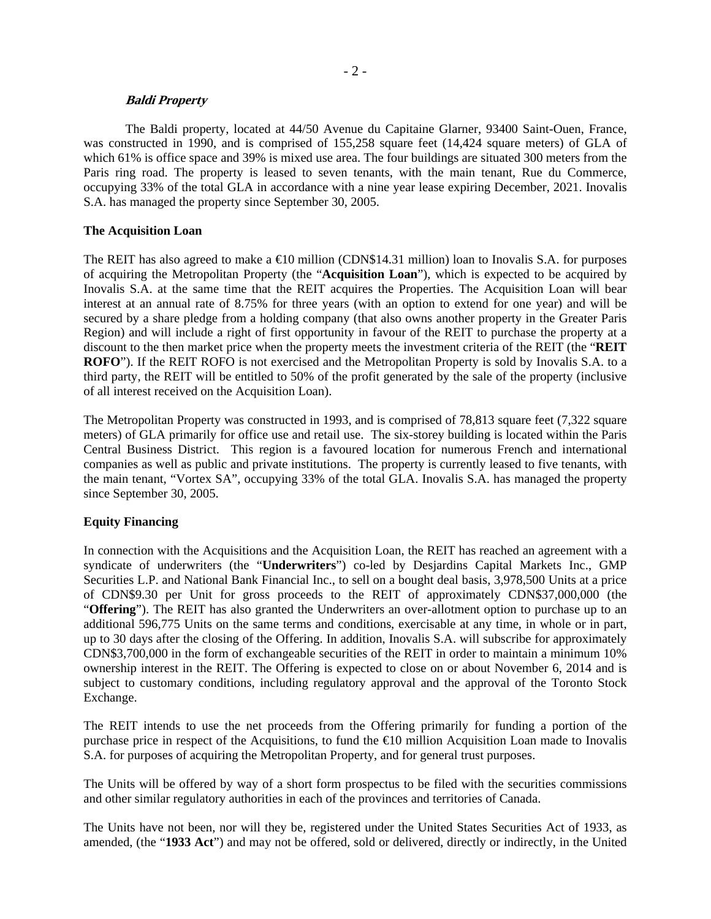### **Baldi Property**

The Baldi property, located at 44/50 Avenue du Capitaine Glarner, 93400 Saint-Ouen, France, was constructed in 1990, and is comprised of 155,258 square feet (14,424 square meters) of GLA of which 61% is office space and 39% is mixed use area. The four buildings are situated 300 meters from the Paris ring road. The property is leased to seven tenants, with the main tenant, Rue du Commerce, occupying 33% of the total GLA in accordance with a nine year lease expiring December, 2021. Inovalis S.A. has managed the property since September 30, 2005.

# **The Acquisition Loan**

The REIT has also agreed to make a  $\bigoplus$  million (CDN\$14.31 million) loan to Inovalis S.A. for purposes of acquiring the Metropolitan Property (the "**Acquisition Loan**"), which is expected to be acquired by Inovalis S.A. at the same time that the REIT acquires the Properties. The Acquisition Loan will bear interest at an annual rate of 8.75% for three years (with an option to extend for one year) and will be secured by a share pledge from a holding company (that also owns another property in the Greater Paris Region) and will include a right of first opportunity in favour of the REIT to purchase the property at a discount to the then market price when the property meets the investment criteria of the REIT (the "**REIT ROFO**"). If the REIT ROFO is not exercised and the Metropolitan Property is sold by Inovalis S.A. to a third party, the REIT will be entitled to 50% of the profit generated by the sale of the property (inclusive of all interest received on the Acquisition Loan).

The Metropolitan Property was constructed in 1993, and is comprised of 78,813 square feet (7,322 square meters) of GLA primarily for office use and retail use. The six-storey building is located within the Paris Central Business District. This region is a favoured location for numerous French and international companies as well as public and private institutions. The property is currently leased to five tenants, with the main tenant, "Vortex SA", occupying 33% of the total GLA. Inovalis S.A. has managed the property since September 30, 2005.

# **Equity Financing**

In connection with the Acquisitions and the Acquisition Loan, the REIT has reached an agreement with a syndicate of underwriters (the "**Underwriters**") co-led by Desjardins Capital Markets Inc., GMP Securities L.P. and National Bank Financial Inc., to sell on a bought deal basis, 3,978,500 Units at a price of CDN\$9.30 per Unit for gross proceeds to the REIT of approximately CDN\$37,000,000 (the "**Offering**"). The REIT has also granted the Underwriters an over-allotment option to purchase up to an additional 596,775 Units on the same terms and conditions, exercisable at any time, in whole or in part, up to 30 days after the closing of the Offering. In addition, Inovalis S.A. will subscribe for approximately CDN\$3,700,000 in the form of exchangeable securities of the REIT in order to maintain a minimum 10% ownership interest in the REIT. The Offering is expected to close on or about November 6, 2014 and is subject to customary conditions, including regulatory approval and the approval of the Toronto Stock Exchange.

The REIT intends to use the net proceeds from the Offering primarily for funding a portion of the purchase price in respect of the Acquisitions, to fund the €10 million Acquisition Loan made to Inovalis S.A. for purposes of acquiring the Metropolitan Property, and for general trust purposes.

The Units will be offered by way of a short form prospectus to be filed with the securities commissions and other similar regulatory authorities in each of the provinces and territories of Canada.

The Units have not been, nor will they be, registered under the United States Securities Act of 1933, as amended, (the "**1933 Act**") and may not be offered, sold or delivered, directly or indirectly, in the United